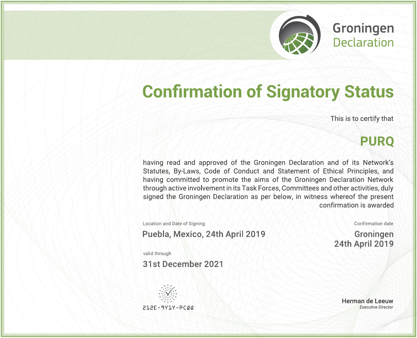**Groningen**<br>Declaration

# **Confirmation of Signatory Status**

This is to certify that

## **PURQ**

having read and approved of the Groningen Declaration and of its Network's Statutes, By-Laws, Code of Conduct and Statement of Ethical Principles, and having committed to promote the aims of the Groningen Declaration Network through active involvement in its Task Forces, Committees and other activities, duly signed the Groningen Declaration as per below, in witness whereof the present confirmation is awarded

Location and Date of Signing

Puebla, Mexico, 24th April 2019

Confirmation date

Groningen **24th April 2019** 

valid through

31st December 2021



Herman de Leeuw **Executive Director**